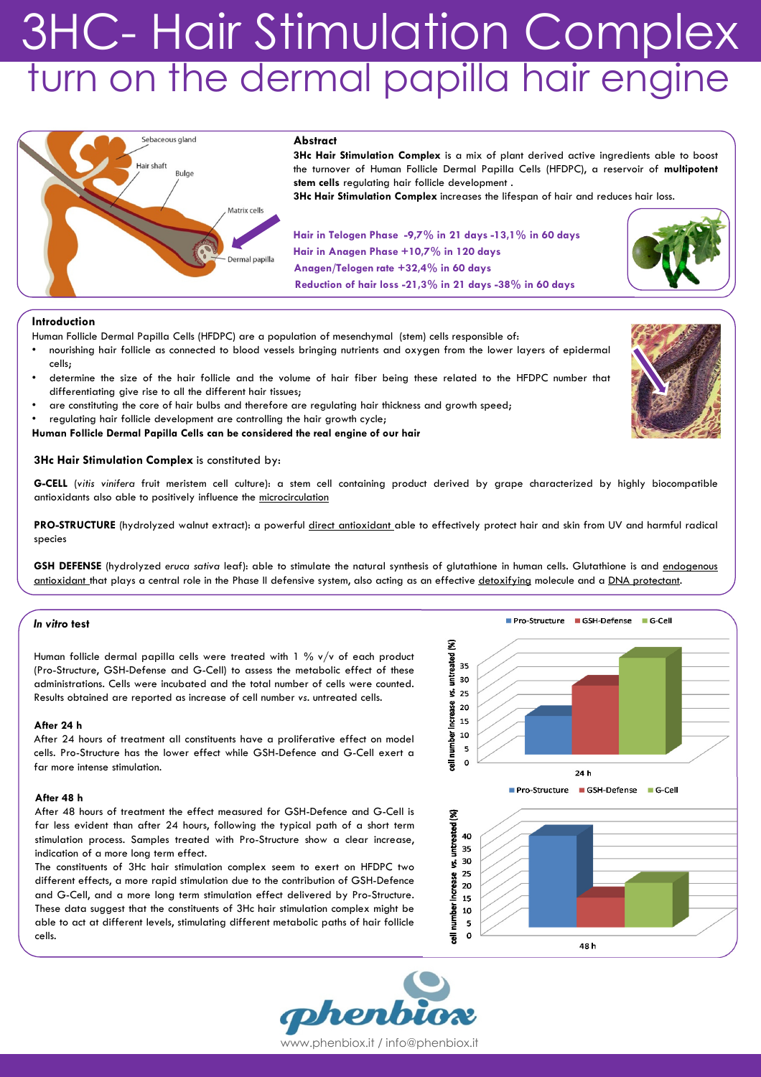# 3HC- Hair Stimulation Complex turn on the dermal papilla hair engine



# Introduction

Human Follicle Dermal Papilla Cells (HFDPC) are a population of mesenchymal (stem) cells responsible of:

- nourishing hair follicle as connected to blood vessels bringing nutrients and oxygen from the lower layers of epidermal cells;
- determine the size of the hair follicle and the volume of hair fiber being these related to the HFDPC number that differentiating give rise to all the different hair tissues;
- are constituting the core of hair bulbs and therefore are regulating hair thickness and growth speed;
- regulating hair follicle development are controlling the hair growth cycle;

Human Follicle Dermal Papilla Cells can be considered the real engine of our hair

# 3Hc Hair Stimulation Complex is constituted by:

G-CELL (vitis vinifera fruit meristem cell culture): a stem cell containing product derived by grape characterized by highly biocompatible antioxidants also able to positively influence the microcirculation

PRO-STRUCTURE (hydrolyzed walnut extract): a powerful direct antioxidant able to effectively protect hair and skin from UV and harmful radical species

GSH DEFENSE (hydrolyzed eruca sativa leaf): able to stimulate the natural synthesis of glutathione in human cells. Glutathione is and endogenous antioxidant that plays a central role in the Phase II defensive system, also acting as an effective detoxifying molecule and a DNA protectant.

## In vitro test

Human follicle dermal papilla cells were treated with 1 % v/v of each product (Pro-Structure, GSH-Defense and G-Cell) to assess the metabolic effect of these administrations. Cells were incubated and the total number of cells were counted. Results obtained are reported as increase of cell number vs. untreated cells.

#### After 24 h

After 24 hours of treatment all constituents have a proliferative effect on model cells. Pro-Structure has the lower effect while GSH-Defence and G-Cell exert a far more intense stimulation.

# After 48 h

After 48 hours of treatment the effect measured for GSH-Defence and G-Cell is far less evident than after 24 hours, following the typical path of a short term stimulation process. Samples treated with Pro-Structure show a clear increase, indication of a more long term effect.

The constituents of 3Hc hair stimulation complex seem to exert on HFDPC two different effects, a more rapid stimulation due to the contribution of GSH-Defence and G-Cell, and a more long term stimulation effect delivered by Pro-Structure. These data suggest that the constituents of 3Hc hair stimulation complex might be able to act at different levels, stimulating different metabolic paths of hair follicle cells.